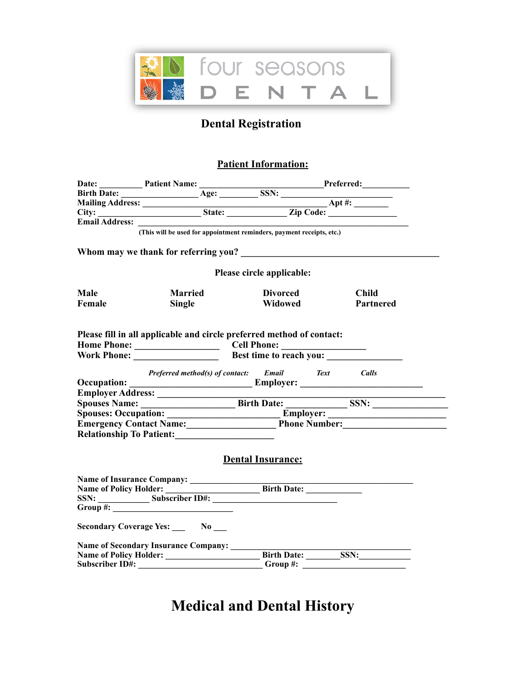

## **Dental Registration**

## **Patient Information:**

|                                 | Date: Patient Name: Patient Name: Preferred: Preferred: Preferred: Preferred: Preferred: Preferred: Preferred: Preferred: Preferred: Preferred: Preferred: Preferred: Preferred: Preferred: Preferred: Preferred: Preferred: P |                           |              |
|---------------------------------|--------------------------------------------------------------------------------------------------------------------------------------------------------------------------------------------------------------------------------|---------------------------|--------------|
|                                 |                                                                                                                                                                                                                                |                           |              |
|                                 |                                                                                                                                                                                                                                |                           |              |
|                                 |                                                                                                                                                                                                                                |                           |              |
|                                 |                                                                                                                                                                                                                                |                           |              |
|                                 | (This will be used for appointment reminders, payment receipts, etc.)                                                                                                                                                          |                           |              |
|                                 |                                                                                                                                                                                                                                |                           |              |
|                                 |                                                                                                                                                                                                                                | Please circle applicable: |              |
| <b>Male</b>                     | <b>Married</b>                                                                                                                                                                                                                 | <b>Divorced</b>           | <b>Child</b> |
| Female                          | <b>Single</b>                                                                                                                                                                                                                  | Widowed                   | Partnered    |
|                                 |                                                                                                                                                                                                                                |                           |              |
|                                 | Please fill in all applicable and circle preferred method of contact:                                                                                                                                                          |                           |              |
|                                 |                                                                                                                                                                                                                                |                           |              |
|                                 |                                                                                                                                                                                                                                |                           |              |
|                                 |                                                                                                                                                                                                                                |                           |              |
|                                 | Preferred method(s) of contact: Email Text Calls                                                                                                                                                                               |                           |              |
|                                 |                                                                                                                                                                                                                                |                           |              |
|                                 |                                                                                                                                                                                                                                |                           |              |
|                                 |                                                                                                                                                                                                                                |                           |              |
|                                 | Spouses: Occupation: Employer: Employer: Employer: Employer: The Phone Number: The Phone Number: The Number: The Number of The Number of The Number of The Number of The Number of The Number of The Number of The Number of T |                           |              |
|                                 | Relationship To Patient:                                                                                                                                                                                                       |                           |              |
|                                 |                                                                                                                                                                                                                                |                           |              |
|                                 |                                                                                                                                                                                                                                | <b>Dental Insurance:</b>  |              |
|                                 |                                                                                                                                                                                                                                |                           |              |
|                                 |                                                                                                                                                                                                                                |                           |              |
| Name of Policy Holder: ________ |                                                                                                                                                                                                                                | Birth Date:               |              |
|                                 | SSN: $\frac{\text{Subscript ID#}}{\text{Subscript ID#}}$                                                                                                                                                                       |                           |              |
|                                 | $Group~\#:\square$                                                                                                                                                                                                             |                           |              |
|                                 | Secondary Coverage Yes: No ___                                                                                                                                                                                                 |                           |              |
|                                 |                                                                                                                                                                                                                                |                           |              |
|                                 |                                                                                                                                                                                                                                |                           |              |
|                                 | Subscriber ID#: _____ <del>__________________</del> ___Group #: ____________________________                                                                                                                                   |                           |              |
|                                 |                                                                                                                                                                                                                                |                           |              |

# **Medical and Dental History**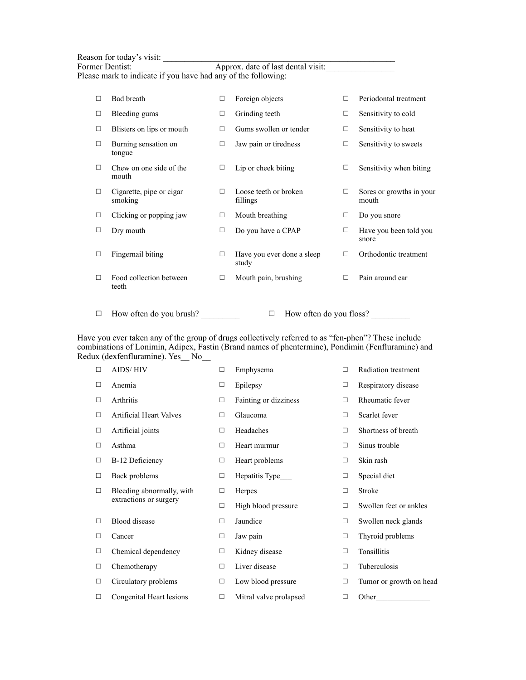|        | Reason for today's visit:<br>Former Dentist:<br>Please mark to indicate if you have had any of the following: |        | Approx. date of last dental visit:  |        |                                   |
|--------|---------------------------------------------------------------------------------------------------------------|--------|-------------------------------------|--------|-----------------------------------|
| $\Box$ | Bad breath                                                                                                    | □      | Foreign objects                     | П      | Periodontal treatment             |
| □      | Bleeding gums                                                                                                 | $\Box$ | Grinding teeth                      | $\Box$ | Sensitivity to cold               |
| □      | Blisters on lips or mouth                                                                                     | □      | Gums swollen or tender              | $\Box$ | Sensitivity to heat               |
| □      | Burning sensation on<br>tongue                                                                                | $\Box$ | Jaw pain or tiredness               | $\Box$ | Sensitivity to sweets             |
| П      | Chew on one side of the<br>mouth                                                                              | П      | Lip or cheek biting                 | П      | Sensitivity when biting           |
| □      | Cigarette, pipe or cigar<br>smoking                                                                           | П      | Loose teeth or broken<br>fillings   | П      | Sores or growths in your<br>mouth |
| □      | Clicking or popping jaw                                                                                       | □      | Mouth breathing                     | $\Box$ | Do you snore                      |
| □      | Dry mouth                                                                                                     | $\Box$ | Do you have a CPAP                  | $\Box$ | Have you been told you<br>snore   |
| □      | Fingernail biting                                                                                             | П      | Have you ever done a sleep<br>study | П      | Orthodontic treatment             |
| П      | Food collection between                                                                                       | п      | Mouth pain, brushing                | П      | Pain around ear                   |

teeth

 $\Box$  How often do you brush?  $\Box$  How often do you floss?  $\Box$ 

Have you ever taken any of the group of drugs collectively referred to as "fen-phen"? These include combinations of Lonimin, Adipex, Fastin (Brand names of phentermine), Pondimin (Fenfluramine) and Redux (dexfenfluramine). Yes\_\_ No\_\_

| $\Box$ | AIDS/HIV                       | $\Box$ | Emphysema              | $\Box$ | Radiation treatment     |
|--------|--------------------------------|--------|------------------------|--------|-------------------------|
| $\Box$ | Anemia                         | □      | Epilepsy               | □      | Respiratory disease     |
| $\Box$ | Arthritis                      | $\Box$ | Fainting or dizziness  | □      | Rheumatic fever         |
| □      | <b>Artificial Heart Valves</b> | $\Box$ | Glaucoma               | □      | Scarlet fever           |
| □      | Artificial joints              | $\Box$ | Headaches              | □      | Shortness of breath     |
| □      | Asthma                         | □      | Heart murmur           | □      | Sinus trouble           |
| □      | B-12 Deficiency                | $\Box$ | Heart problems         | □      | Skin rash               |
| □      | Back problems                  | $\Box$ | Hepatitis Type         | □      | Special diet            |
| $\Box$ | Bleeding abnormally, with      | □      | Herpes                 | $\Box$ | <b>Stroke</b>           |
|        | extractions or surgery         | $\Box$ | High blood pressure    | □      | Swollen feet or ankles  |
| □      | <b>Blood</b> disease           | □      | Jaundice               | □      | Swollen neck glands     |
| □      | Cancer                         | $\Box$ | Jaw pain               | □      | Thyroid problems        |
| □      | Chemical dependency            | $\Box$ | Kidney disease         | □      | Tonsillitis             |
| □      | Chemotherapy                   | $\Box$ | Liver disease          | $\Box$ | Tuberculosis            |
| □      | Circulatory problems           | □      | Low blood pressure     | □      | Tumor or growth on head |
| □      | Congenital Heart lesions       | □      | Mitral valve prolapsed | □      | Other                   |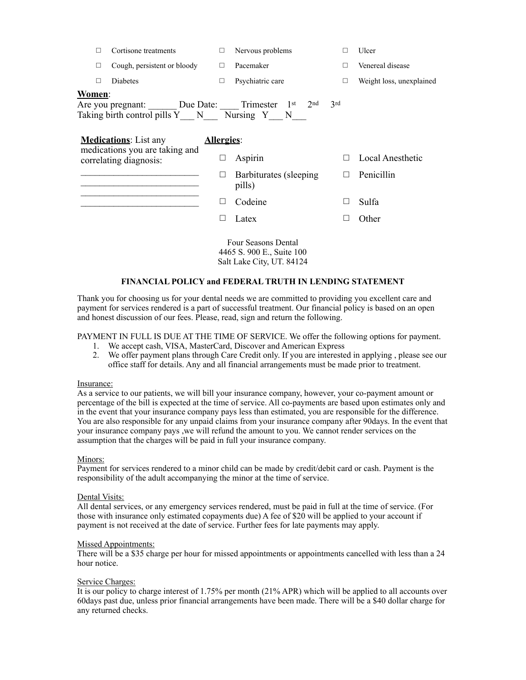| П                                                                                                                           | Cortisone treatments        | $\Box$ | Nervous problems                  |              | Ulcer                    |  |
|-----------------------------------------------------------------------------------------------------------------------------|-----------------------------|--------|-----------------------------------|--------------|--------------------------|--|
| $\Box$                                                                                                                      | Cough, persistent or bloody | □      | Pacemaker                         |              | Venereal disease         |  |
| П                                                                                                                           | Diabetes                    | $\Box$ | Psychiatric care                  | П            | Weight loss, unexplained |  |
| Women:<br>Are you pregnant: Due Date: Trimester 1st<br>2 <sub>nd</sub><br>3rd<br>Taking birth control pills Y N Nursing Y N |                             |        |                                   |              |                          |  |
| <b>Medications:</b> List any<br>Allergies:                                                                                  |                             |        |                                   |              |                          |  |
| medications you are taking and<br>correlating diagnosis:                                                                    |                             | ⊔      | Aspirin                           | $\mathsf{L}$ | Local Anesthetic         |  |
|                                                                                                                             |                             | ⊔      | Barbiturates (sleeping)<br>pills) | Ш            | Penicillin               |  |
|                                                                                                                             |                             | $\Box$ | Codeine                           | $\Box$       | Sulfa                    |  |
|                                                                                                                             |                             | $\Box$ | Latex                             | $\Box$       | Other                    |  |
| <b>Four Seasons Dental</b><br>4465 S. 900 E., Suite 100                                                                     |                             |        |                                   |              |                          |  |

Salt Lake City, UT. 84124

#### **FINANCIAL POLICY and FEDERAL TRUTH IN LENDING STATEMENT**

Thank you for choosing us for your dental needs we are committed to providing you excellent care and payment for services rendered is a part of successful treatment. Our financial policy is based on an open and honest discussion of our fees. Please, read, sign and return the following.

PAYMENT IN FULL IS DUE AT THE TIME OF SERVICE. We offer the following options for payment.

- 1. We accept cash, VISA, MasterCard, Discover and American Express
- 2. We offer payment plans through Care Credit only. If you are interested in applying , please see our office staff for details. Any and all financial arrangements must be made prior to treatment.

#### Insurance:

As a service to our patients, we will bill your insurance company, however, your co-payment amount or percentage of the bill is expected at the time of service. All co-payments are based upon estimates only and in the event that your insurance company pays less than estimated, you are responsible for the difference. You are also responsible for any unpaid claims from your insurance company after 90days. In the event that your insurance company pays ,we will refund the amount to you. We cannot render services on the assumption that the charges will be paid in full your insurance company.

#### Minors:

Payment for services rendered to a minor child can be made by credit/debit card or cash. Payment is the responsibility of the adult accompanying the minor at the time of service.

#### Dental Visits:

All dental services, or any emergency services rendered, must be paid in full at the time of service. (For those with insurance only estimated copayments due) A fee of \$20 will be applied to your account if payment is not received at the date of service. Further fees for late payments may apply.

#### Missed Appointments:

There will be a \$35 charge per hour for missed appointments or appointments cancelled with less than a 24 hour notice.

#### Service Charges:

It is our policy to charge interest of 1.75% per month (21% APR) which will be applied to all accounts over 60days past due, unless prior financial arrangements have been made. There will be a \$40 dollar charge for any returned checks.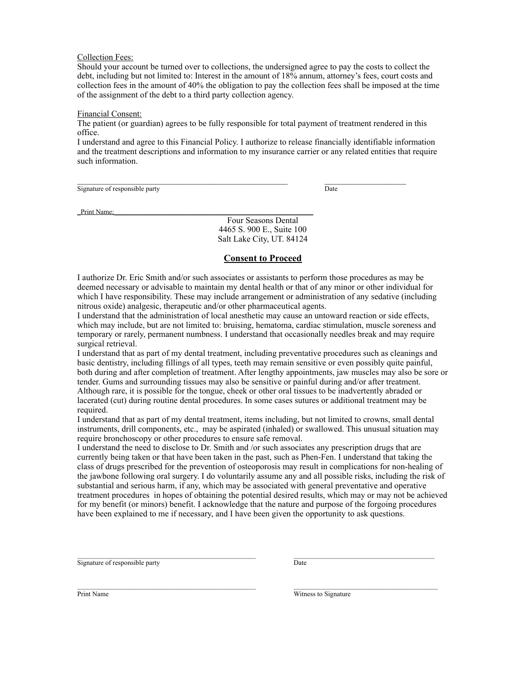#### Collection Fees:

Should your account be turned over to collections, the undersigned agree to pay the costs to collect the debt, including but not limited to: Interest in the amount of 18% annum, attorney's fees, court costs and collection fees in the amount of 40% the obligation to pay the collection fees shall be imposed at the time of the assignment of the debt to a third party collection agency.

#### Financial Consent:

The patient (or guardian) agrees to be fully responsible for total payment of treatment rendered in this office.

I understand and agree to this Financial Policy. I authorize to release financially identifiable information and the treatment descriptions and information to my insurance carrier or any related entities that require such information.

Signature of responsible party Date

\_Print Name;

Four Seasons Dental 4465 S. 900 E., Suite 100 Salt Lake City, UT. 84124

#### **Consent to Proceed**

I authorize Dr. Eric Smith and/or such associates or assistants to perform those procedures as may be deemed necessary or advisable to maintain my dental health or that of any minor or other individual for which I have responsibility. These may include arrangement or administration of any sedative (including nitrous oxide) analgesic, therapeutic and/or other pharmaceutical agents.

I understand that the administration of local anesthetic may cause an untoward reaction or side effects, which may include, but are not limited to: bruising, hematoma, cardiac stimulation, muscle soreness and temporary or rarely, permanent numbness. I understand that occasionally needles break and may require surgical retrieval.

I understand that as part of my dental treatment, including preventative procedures such as cleanings and basic dentistry, including fillings of all types, teeth may remain sensitive or even possibly quite painful, both during and after completion of treatment. After lengthy appointments, jaw muscles may also be sore or tender. Gums and surrounding tissues may also be sensitive or painful during and/or after treatment. Although rare, it is possible for the tongue, cheek or other oral tissues to be inadvertently abraded or lacerated (cut) during routine dental procedures. In some cases sutures or additional treatment may be required.

I understand that as part of my dental treatment, items including, but not limited to crowns, small dental instruments, drill components, etc., may be aspirated (inhaled) or swallowed. This unusual situation may require bronchoscopy or other procedures to ensure safe removal.

I understand the need to disclose to Dr. Smith and /or such associates any prescription drugs that are currently being taken or that have been taken in the past, such as Phen-Fen. I understand that taking the class of drugs prescribed for the prevention of osteoporosis may result in complications for non-healing of the jawbone following oral surgery. I do voluntarily assume any and all possible risks, including the risk of substantial and serious harm, if any, which may be associated with general preventative and operative treatment procedures in hopes of obtaining the potential desired results, which may or may not be achieved for my benefit (or minors) benefit. I acknowledge that the nature and purpose of the forgoing procedures have been explained to me if necessary, and I have been given the opportunity to ask questions.

 $\mathcal{L}_\mathcal{L} = \mathcal{L}_\mathcal{L}$ 

Signature of responsible party Date

 $\mathcal{L}_\mathcal{L} = \mathcal{L}_\mathcal{L}$ 

Print Name Witness to Signature